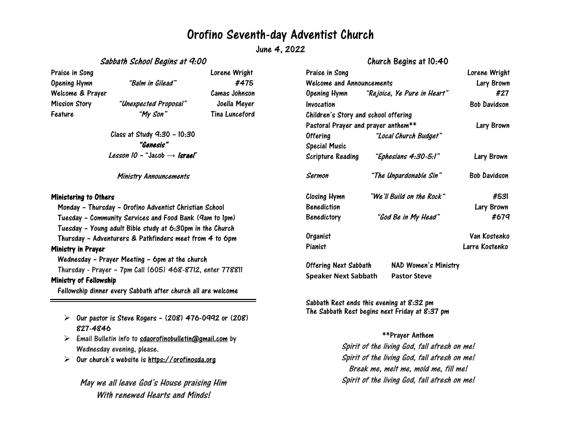## Orofino Seventh-day Adventist Church

June 4, 2022

Sabbath School Begins at 9:00

Praise in Song **Lorence Wright** Opening Hymn "Balm in Gilead" #475 Welcome & Prayer Camas Johnson Mission Story "Unexpected Proposal" Joella Meyer Feature "My Son" Tina Lunceford

Class at Study 9:30 – 10:30 "Genesis" Lesson 10 – "Jacob  $\rightarrow$  Israel"

Ministry Announcements

#### Ministering to Others

Monday – Thursday – Orofino Adventist Christian School

Tuesday – Community Services and Food Bank (9am to 1pm)

Tuesday – Young adult Bible study at 6:30pm in the Church

Thursday – Adventurers & Pathfinders meet from 4 to 6pm

### Ministry in Prayer

Wednesday – Prayer Meeting – 6pm at the church

Thursday - Prayer – 7pm Call (605) 468-8712, enter 778811

### Ministry of Fellowship

Fellowship dinner every Sabbath after church all are welcome

- $\triangleright$  Our pastor is Steve Rogers (208) 476-0992 or (208) 827-4846
- $\triangleright$  Email Bulletin info to [sdaorofinobulletin@gmail.com](mailto:sdaorofinobulletin@gmail.com) by Wednesday evening, please.
- $\triangleright$ Our church's website is [https://orofinosda.org](https://orofinosda.org/)

May we all leave God's House praising Him With renewed Hearts and Minds!

| Praise in Song                       |                                          | Lorene Wright       |
|--------------------------------------|------------------------------------------|---------------------|
| <b>Welcome and Announcements</b>     |                                          | Lary Brown          |
|                                      | Opening Hymn "Rejoice, Ye Pure in Heart" | #27                 |
| Invocation                           |                                          | <b>Bob Davidson</b> |
| Children's Story and school offering |                                          |                     |
| Pastoral Prayer and prayer anthem**  |                                          | Lary Brown          |
| <b>Offering</b>                      | "Local Church Budget"                    |                     |
| <b>Special Music</b>                 |                                          |                     |
| Scripture Reading                    | "Ephesians 4:30-5:1"                     | Lary Brown          |
| Sermon                               | "The Unpardonable Sin"                   | Bob Davidson        |
| <b>Closing Hymn</b>                  | "We'll Build on the Rock"                | #531                |
| <b>Benediction</b>                   |                                          | Lary Brown          |
| <b>Benedictory</b>                   | "God Be in My Head"                      | #679                |
| Organist                             |                                          | Van Kostenko        |
| Pianist                              |                                          | Larre Kostenko      |
| Offering Next Sabbath                | <b>NAD Women's Ministry</b>              |                     |

Sabbath Rest ends this evening at 8:32 pm The Sabbath Rest begins next Friday at 8:37 pm

**Speaker Next Sabbath Pastor Steve**

### \*\*Prayer Anthem

Spirit of the living God, fall afresh on me! Spirit of the living God, fall afresh on me! Break me, melt me, mold me, fill me! Spirit of the living God, fall afresh on me!

Church Begins at 10:40